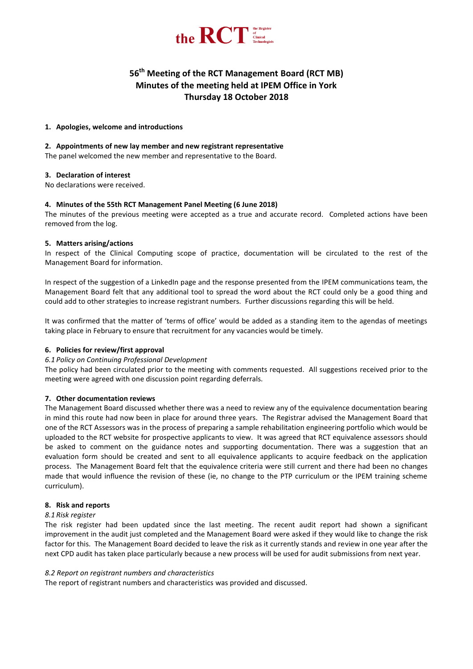

# **56 th Meeting of the RCT Management Board (RCT MB) Minutes of the meeting held at IPEM Office in York Thursday 18 October 2018**

## **1. Apologies, welcome and introductions**

## **2. Appointments of new lay member and new registrant representative**

The panel welcomed the new member and representative to the Board.

## **3. Declaration of interest**

No declarations were received.

# **4. Minutes of the 55th RCT Management Panel Meeting (6 June 2018)**

The minutes of the previous meeting were accepted as a true and accurate record. Completed actions have been removed from the log.

## **5. Matters arising/actions**

In respect of the Clinical Computing scope of practice, documentation will be circulated to the rest of the Management Board for information.

In respect of the suggestion of a LinkedIn page and the response presented from the IPEM communications team, the Management Board felt that any additional tool to spread the word about the RCT could only be a good thing and could add to other strategies to increase registrant numbers. Further discussions regarding this will be held.

It was confirmed that the matter of 'terms of office' would be added as a standing item to the agendas of meetings taking place in February to ensure that recruitment for any vacancies would be timely.

# **6. Policies for review/first approval**

#### *6.1 Policy on Continuing Professional Development*

The policy had been circulated prior to the meeting with comments requested. All suggestions received prior to the meeting were agreed with one discussion point regarding deferrals.

# **7. Other documentation reviews**

The Management Board discussed whether there was a need to review any of the equivalence documentation bearing in mind this route had now been in place for around three years. The Registrar advised the Management Board that one of the RCT Assessors was in the process of preparing a sample rehabilitation engineering portfolio which would be uploaded to the RCT website for prospective applicants to view. It was agreed that RCT equivalence assessors should be asked to comment on the guidance notes and supporting documentation. There was a suggestion that an evaluation form should be created and sent to all equivalence applicants to acquire feedback on the application process. The Management Board felt that the equivalence criteria were still current and there had been no changes made that would influence the revision of these (ie, no change to the PTP curriculum or the IPEM training scheme curriculum).

#### **8. Risk and reports**

#### *8.1 Risk register*

The risk register had been updated since the last meeting. The recent audit report had shown a significant improvement in the audit just completed and the Management Board were asked if they would like to change the risk factor for this. The Management Board decided to leave the risk as it currently stands and review in one year after the next CPD audit has taken place particularly because a new process will be used for audit submissions from next year.

# *8.2 Report on registrant numbers and characteristics*

The report of registrant numbers and characteristics was provided and discussed.